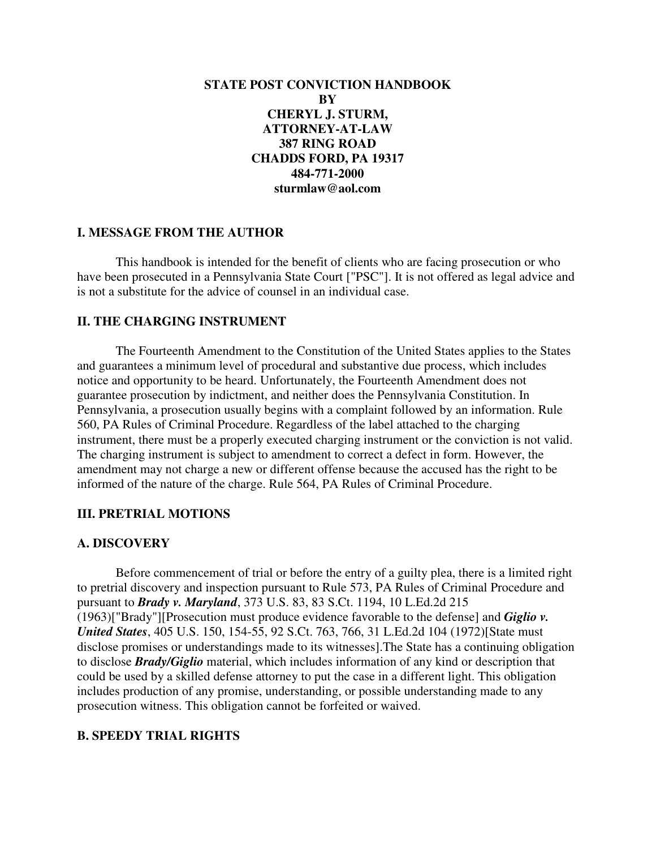**STATE POST CONVICTION HANDBOOK BY CHERYL J. STURM, ATTORNEY-AT-LAW 387 RING ROAD CHADDS FORD, PA 19317 484-771-2000 sturmlaw@aol.com** 

# **I. MESSAGE FROM THE AUTHOR**

 This handbook is intended for the benefit of clients who are facing prosecution or who have been prosecuted in a Pennsylvania State Court ["PSC"]. It is not offered as legal advice and is not a substitute for the advice of counsel in an individual case.

## **II. THE CHARGING INSTRUMENT**

 The Fourteenth Amendment to the Constitution of the United States applies to the States and guarantees a minimum level of procedural and substantive due process, which includes notice and opportunity to be heard. Unfortunately, the Fourteenth Amendment does not guarantee prosecution by indictment, and neither does the Pennsylvania Constitution. In Pennsylvania, a prosecution usually begins with a complaint followed by an information. Rule 560, PA Rules of Criminal Procedure. Regardless of the label attached to the charging instrument, there must be a properly executed charging instrument or the conviction is not valid. The charging instrument is subject to amendment to correct a defect in form. However, the amendment may not charge a new or different offense because the accused has the right to be informed of the nature of the charge. Rule 564, PA Rules of Criminal Procedure.

# **III. PRETRIAL MOTIONS**

### **A. DISCOVERY**

 Before commencement of trial or before the entry of a guilty plea, there is a limited right to pretrial discovery and inspection pursuant to Rule 573, PA Rules of Criminal Procedure and pursuant to *Brady v. Maryland*, 373 U.S. 83, 83 S.Ct. 1194, 10 L.Ed.2d 215 (1963)["Brady"][Prosecution must produce evidence favorable to the defense] and *Giglio v. United States*, 405 U.S. 150, 154-55, 92 S.Ct. 763, 766, 31 L.Ed.2d 104 (1972)[State must disclose promises or understandings made to its witnesses].The State has a continuing obligation to disclose *Brady/Giglio* material, which includes information of any kind or description that could be used by a skilled defense attorney to put the case in a different light. This obligation includes production of any promise, understanding, or possible understanding made to any prosecution witness. This obligation cannot be forfeited or waived.

# **B. SPEEDY TRIAL RIGHTS**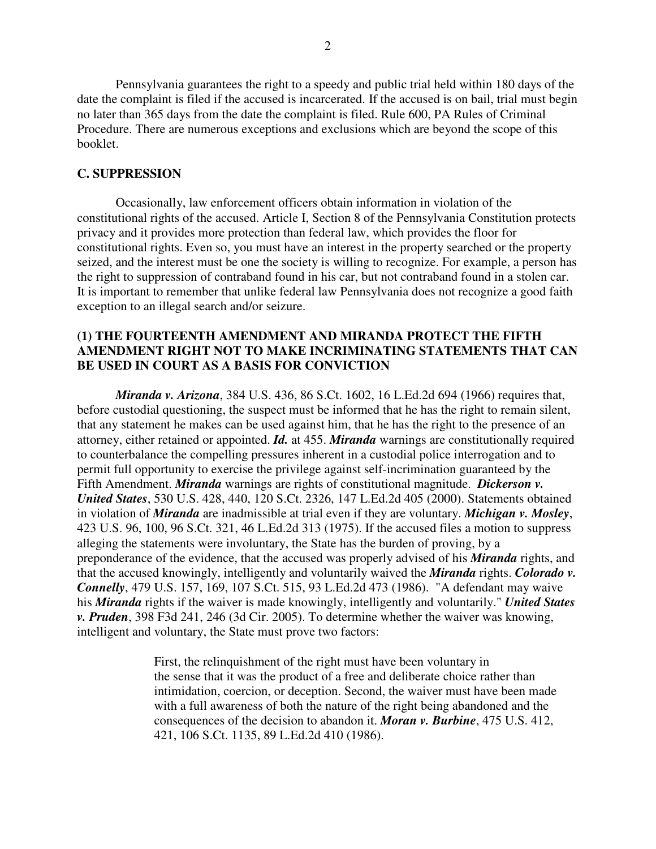Pennsylvania guarantees the right to a speedy and public trial held within 180 days of the date the complaint is filed if the accused is incarcerated. If the accused is on bail, trial must begin no later than 365 days from the date the complaint is filed. Rule 600, PA Rules of Criminal Procedure. There are numerous exceptions and exclusions which are beyond the scope of this booklet.

### **C. SUPPRESSION**

 Occasionally, law enforcement officers obtain information in violation of the constitutional rights of the accused. Article I, Section 8 of the Pennsylvania Constitution protects privacy and it provides more protection than federal law, which provides the floor for constitutional rights. Even so, you must have an interest in the property searched or the property seized, and the interest must be one the society is willing to recognize. For example, a person has the right to suppression of contraband found in his car, but not contraband found in a stolen car. It is important to remember that unlike federal law Pennsylvania does not recognize a good faith exception to an illegal search and/or seizure.

## **(1) THE FOURTEENTH AMENDMENT AND MIRANDA PROTECT THE FIFTH AMENDMENT RIGHT NOT TO MAKE INCRIMINATING STATEMENTS THAT CAN BE USED IN COURT AS A BASIS FOR CONVICTION**

*Miranda v. Arizona*, 384 U.S. 436, 86 S.Ct. 1602, 16 L.Ed.2d 694 (1966) requires that, before custodial questioning, the suspect must be informed that he has the right to remain silent, that any statement he makes can be used against him, that he has the right to the presence of an attorney, either retained or appointed. *Id.* at 455. *Miranda* warnings are constitutionally required to counterbalance the compelling pressures inherent in a custodial police interrogation and to permit full opportunity to exercise the privilege against self-incrimination guaranteed by the Fifth Amendment. *Miranda* warnings are rights of constitutional magnitude. *Dickerson v. United States*, 530 U.S. 428, 440, 120 S.Ct. 2326, 147 L.Ed.2d 405 (2000). Statements obtained in violation of *Miranda* are inadmissible at trial even if they are voluntary. *Michigan v. Mosley*, 423 U.S. 96, 100, 96 S.Ct. 321, 46 L.Ed.2d 313 (1975). If the accused files a motion to suppress alleging the statements were involuntary, the State has the burden of proving, by a preponderance of the evidence, that the accused was properly advised of his *Miranda* rights, and that the accused knowingly, intelligently and voluntarily waived the *Miranda* rights. *Colorado v. Connelly*, 479 U.S. 157, 169, 107 S.Ct. 515, 93 L.Ed.2d 473 (1986). "A defendant may waive his *Miranda* rights if the waiver is made knowingly, intelligently and voluntarily." *United States v. Pruden*, 398 F3d 241, 246 (3d Cir. 2005). To determine whether the waiver was knowing, intelligent and voluntary, the State must prove two factors:

> First, the relinquishment of the right must have been voluntary in the sense that it was the product of a free and deliberate choice rather than intimidation, coercion, or deception. Second, the waiver must have been made with a full awareness of both the nature of the right being abandoned and the consequences of the decision to abandon it. *Moran v. Burbine*, 475 U.S. 412, 421, 106 S.Ct. 1135, 89 L.Ed.2d 410 (1986).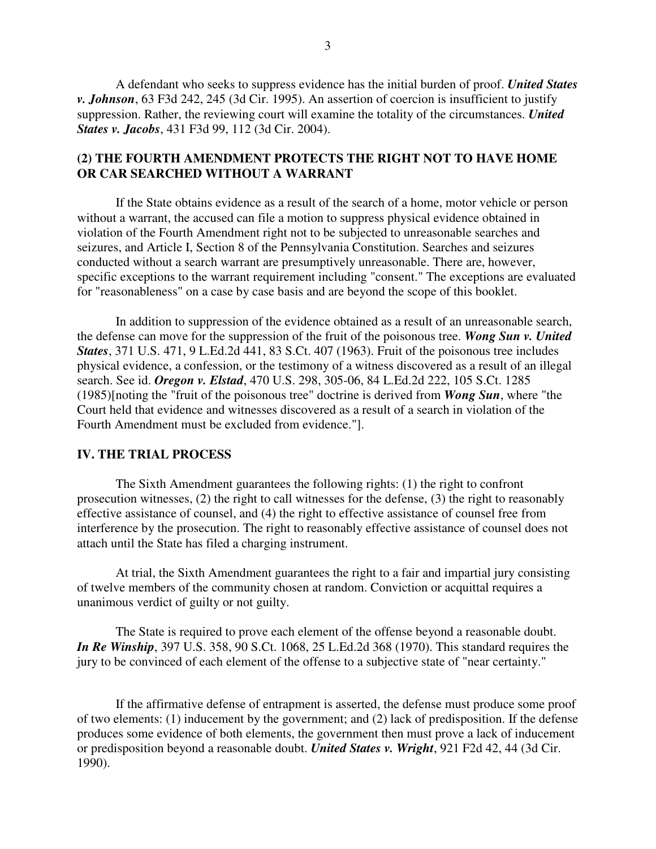A defendant who seeks to suppress evidence has the initial burden of proof. *United States v. Johnson*, 63 F3d 242, 245 (3d Cir. 1995). An assertion of coercion is insufficient to justify suppression. Rather, the reviewing court will examine the totality of the circumstances. *United States v. Jacobs*, 431 F3d 99, 112 (3d Cir. 2004).

# **(2) THE FOURTH AMENDMENT PROTECTS THE RIGHT NOT TO HAVE HOME OR CAR SEARCHED WITHOUT A WARRANT**

 If the State obtains evidence as a result of the search of a home, motor vehicle or person without a warrant, the accused can file a motion to suppress physical evidence obtained in violation of the Fourth Amendment right not to be subjected to unreasonable searches and seizures, and Article I, Section 8 of the Pennsylvania Constitution. Searches and seizures conducted without a search warrant are presumptively unreasonable. There are, however, specific exceptions to the warrant requirement including "consent." The exceptions are evaluated for "reasonableness" on a case by case basis and are beyond the scope of this booklet.

 In addition to suppression of the evidence obtained as a result of an unreasonable search, the defense can move for the suppression of the fruit of the poisonous tree. *Wong Sun v. United States*, 371 U.S. 471, 9 L.Ed.2d 441, 83 S.Ct. 407 (1963). Fruit of the poisonous tree includes physical evidence, a confession, or the testimony of a witness discovered as a result of an illegal search. See id. *Oregon v. Elstad*, 470 U.S. 298, 305-06, 84 L.Ed.2d 222, 105 S.Ct. 1285 (1985)[noting the "fruit of the poisonous tree" doctrine is derived from *Wong Sun*, where "the Court held that evidence and witnesses discovered as a result of a search in violation of the Fourth Amendment must be excluded from evidence."].

## **IV. THE TRIAL PROCESS**

 The Sixth Amendment guarantees the following rights: (1) the right to confront prosecution witnesses, (2) the right to call witnesses for the defense, (3) the right to reasonably effective assistance of counsel, and (4) the right to effective assistance of counsel free from interference by the prosecution. The right to reasonably effective assistance of counsel does not attach until the State has filed a charging instrument.

 At trial, the Sixth Amendment guarantees the right to a fair and impartial jury consisting of twelve members of the community chosen at random. Conviction or acquittal requires a unanimous verdict of guilty or not guilty.

 The State is required to prove each element of the offense beyond a reasonable doubt. *In Re Winship*, 397 U.S. 358, 90 S.Ct. 1068, 25 L.Ed.2d 368 (1970). This standard requires the jury to be convinced of each element of the offense to a subjective state of "near certainty."

 If the affirmative defense of entrapment is asserted, the defense must produce some proof of two elements: (1) inducement by the government; and (2) lack of predisposition. If the defense produces some evidence of both elements, the government then must prove a lack of inducement or predisposition beyond a reasonable doubt. *United States v. Wright*, 921 F2d 42, 44 (3d Cir. 1990).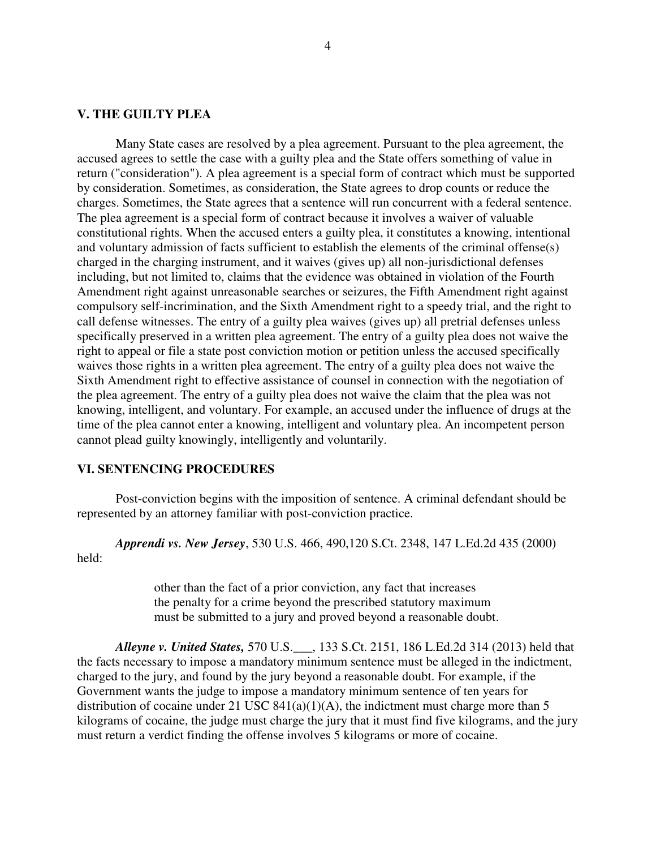### **V. THE GUILTY PLEA**

 Many State cases are resolved by a plea agreement. Pursuant to the plea agreement, the accused agrees to settle the case with a guilty plea and the State offers something of value in return ("consideration"). A plea agreement is a special form of contract which must be supported by consideration. Sometimes, as consideration, the State agrees to drop counts or reduce the charges. Sometimes, the State agrees that a sentence will run concurrent with a federal sentence. The plea agreement is a special form of contract because it involves a waiver of valuable constitutional rights. When the accused enters a guilty plea, it constitutes a knowing, intentional and voluntary admission of facts sufficient to establish the elements of the criminal offense(s) charged in the charging instrument, and it waives (gives up) all non-jurisdictional defenses including, but not limited to, claims that the evidence was obtained in violation of the Fourth Amendment right against unreasonable searches or seizures, the Fifth Amendment right against compulsory self-incrimination, and the Sixth Amendment right to a speedy trial, and the right to call defense witnesses. The entry of a guilty plea waives (gives up) all pretrial defenses unless specifically preserved in a written plea agreement. The entry of a guilty plea does not waive the right to appeal or file a state post conviction motion or petition unless the accused specifically waives those rights in a written plea agreement. The entry of a guilty plea does not waive the Sixth Amendment right to effective assistance of counsel in connection with the negotiation of the plea agreement. The entry of a guilty plea does not waive the claim that the plea was not knowing, intelligent, and voluntary. For example, an accused under the influence of drugs at the time of the plea cannot enter a knowing, intelligent and voluntary plea. An incompetent person cannot plead guilty knowingly, intelligently and voluntarily.

## **VI. SENTENCING PROCEDURES**

 Post-conviction begins with the imposition of sentence. A criminal defendant should be represented by an attorney familiar with post-conviction practice.

 *Apprendi vs. New Jersey*, 530 U.S. 466, 490,120 S.Ct. 2348, 147 L.Ed.2d 435 (2000) held:

> other than the fact of a prior conviction, any fact that increases the penalty for a crime beyond the prescribed statutory maximum must be submitted to a jury and proved beyond a reasonable doubt.

 *Alleyne v. United States,* 570 U.S.\_\_\_, 133 S.Ct. 2151, 186 L.Ed.2d 314 (2013) held that the facts necessary to impose a mandatory minimum sentence must be alleged in the indictment, charged to the jury, and found by the jury beyond a reasonable doubt. For example, if the Government wants the judge to impose a mandatory minimum sentence of ten years for distribution of cocaine under 21 USC  $841(a)(1)(A)$ , the indictment must charge more than 5 kilograms of cocaine, the judge must charge the jury that it must find five kilograms, and the jury must return a verdict finding the offense involves 5 kilograms or more of cocaine.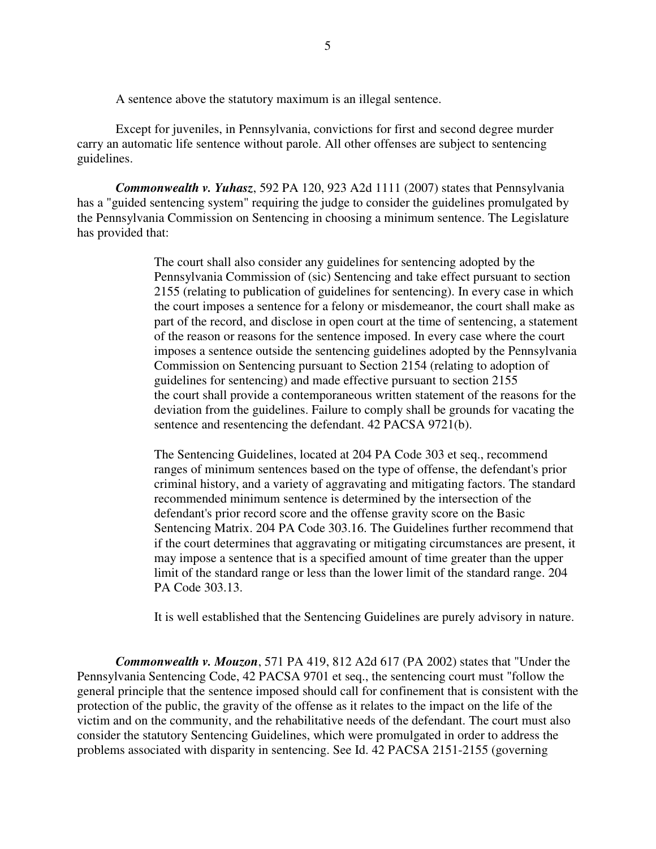A sentence above the statutory maximum is an illegal sentence.

Except for juveniles, in Pennsylvania, convictions for first and second degree murder carry an automatic life sentence without parole. All other offenses are subject to sentencing guidelines.

*Commonwealth v. Yuhasz*, 592 PA 120, 923 A2d 1111 (2007) states that Pennsylvania has a "guided sentencing system" requiring the judge to consider the guidelines promulgated by the Pennsylvania Commission on Sentencing in choosing a minimum sentence. The Legislature has provided that:

> The court shall also consider any guidelines for sentencing adopted by the Pennsylvania Commission of (sic) Sentencing and take effect pursuant to section 2155 (relating to publication of guidelines for sentencing). In every case in which the court imposes a sentence for a felony or misdemeanor, the court shall make as part of the record, and disclose in open court at the time of sentencing, a statement of the reason or reasons for the sentence imposed. In every case where the court imposes a sentence outside the sentencing guidelines adopted by the Pennsylvania Commission on Sentencing pursuant to Section 2154 (relating to adoption of guidelines for sentencing) and made effective pursuant to section 2155 the court shall provide a contemporaneous written statement of the reasons for the deviation from the guidelines. Failure to comply shall be grounds for vacating the sentence and resentencing the defendant. 42 PACSA 9721(b).

> The Sentencing Guidelines, located at 204 PA Code 303 et seq., recommend ranges of minimum sentences based on the type of offense, the defendant's prior criminal history, and a variety of aggravating and mitigating factors. The standard recommended minimum sentence is determined by the intersection of the defendant's prior record score and the offense gravity score on the Basic Sentencing Matrix. 204 PA Code 303.16. The Guidelines further recommend that if the court determines that aggravating or mitigating circumstances are present, it may impose a sentence that is a specified amount of time greater than the upper limit of the standard range or less than the lower limit of the standard range. 204 PA Code 303.13.

> It is well established that the Sentencing Guidelines are purely advisory in nature.

*Commonwealth v. Mouzon*, 571 PA 419, 812 A2d 617 (PA 2002) states that "Under the Pennsylvania Sentencing Code, 42 PACSA 9701 et seq., the sentencing court must "follow the general principle that the sentence imposed should call for confinement that is consistent with the protection of the public, the gravity of the offense as it relates to the impact on the life of the victim and on the community, and the rehabilitative needs of the defendant. The court must also consider the statutory Sentencing Guidelines, which were promulgated in order to address the problems associated with disparity in sentencing. See Id. 42 PACSA 2151-2155 (governing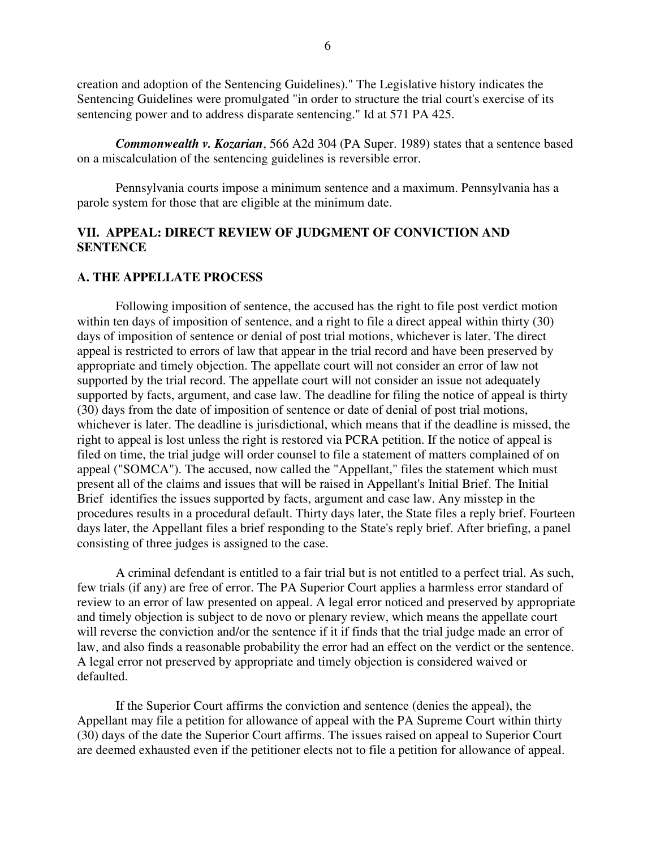creation and adoption of the Sentencing Guidelines)." The Legislative history indicates the Sentencing Guidelines were promulgated "in order to structure the trial court's exercise of its sentencing power and to address disparate sentencing." Id at 571 PA 425.

 *Commonwealth v. Kozarian*, 566 A2d 304 (PA Super. 1989) states that a sentence based on a miscalculation of the sentencing guidelines is reversible error.

Pennsylvania courts impose a minimum sentence and a maximum. Pennsylvania has a parole system for those that are eligible at the minimum date.

## **VII. APPEAL: DIRECT REVIEW OF JUDGMENT OF CONVICTION AND SENTENCE**

## **A. THE APPELLATE PROCESS**

Following imposition of sentence, the accused has the right to file post verdict motion within ten days of imposition of sentence, and a right to file a direct appeal within thirty (30) days of imposition of sentence or denial of post trial motions, whichever is later. The direct appeal is restricted to errors of law that appear in the trial record and have been preserved by appropriate and timely objection. The appellate court will not consider an error of law not supported by the trial record. The appellate court will not consider an issue not adequately supported by facts, argument, and case law. The deadline for filing the notice of appeal is thirty (30) days from the date of imposition of sentence or date of denial of post trial motions, whichever is later. The deadline is jurisdictional, which means that if the deadline is missed, the right to appeal is lost unless the right is restored via PCRA petition. If the notice of appeal is filed on time, the trial judge will order counsel to file a statement of matters complained of on appeal ("SOMCA"). The accused, now called the "Appellant," files the statement which must present all of the claims and issues that will be raised in Appellant's Initial Brief. The Initial Brief identifies the issues supported by facts, argument and case law. Any misstep in the procedures results in a procedural default. Thirty days later, the State files a reply brief. Fourteen days later, the Appellant files a brief responding to the State's reply brief. After briefing, a panel consisting of three judges is assigned to the case.

A criminal defendant is entitled to a fair trial but is not entitled to a perfect trial. As such, few trials (if any) are free of error. The PA Superior Court applies a harmless error standard of review to an error of law presented on appeal. A legal error noticed and preserved by appropriate and timely objection is subject to de novo or plenary review, which means the appellate court will reverse the conviction and/or the sentence if it if finds that the trial judge made an error of law, and also finds a reasonable probability the error had an effect on the verdict or the sentence. A legal error not preserved by appropriate and timely objection is considered waived or defaulted.

If the Superior Court affirms the conviction and sentence (denies the appeal), the Appellant may file a petition for allowance of appeal with the PA Supreme Court within thirty (30) days of the date the Superior Court affirms. The issues raised on appeal to Superior Court are deemed exhausted even if the petitioner elects not to file a petition for allowance of appeal.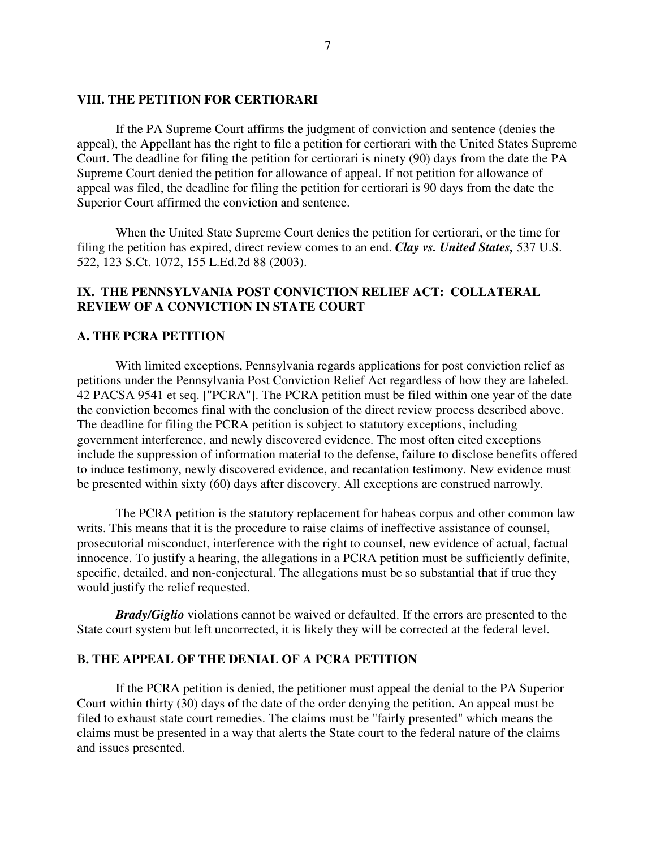### **VIII. THE PETITION FOR CERTIORARI**

If the PA Supreme Court affirms the judgment of conviction and sentence (denies the appeal), the Appellant has the right to file a petition for certiorari with the United States Supreme Court. The deadline for filing the petition for certiorari is ninety (90) days from the date the PA Supreme Court denied the petition for allowance of appeal. If not petition for allowance of appeal was filed, the deadline for filing the petition for certiorari is 90 days from the date the Superior Court affirmed the conviction and sentence.

When the United State Supreme Court denies the petition for certiorari, or the time for filing the petition has expired, direct review comes to an end. *Clay vs. United States,* 537 U.S. 522, 123 S.Ct. 1072, 155 L.Ed.2d 88 (2003).

# **IX. THE PENNSYLVANIA POST CONVICTION RELIEF ACT: COLLATERAL REVIEW OF A CONVICTION IN STATE COURT**

## **A. THE PCRA PETITION**

 With limited exceptions, Pennsylvania regards applications for post conviction relief as petitions under the Pennsylvania Post Conviction Relief Act regardless of how they are labeled. 42 PACSA 9541 et seq. ["PCRA"]. The PCRA petition must be filed within one year of the date the conviction becomes final with the conclusion of the direct review process described above. The deadline for filing the PCRA petition is subject to statutory exceptions, including government interference, and newly discovered evidence. The most often cited exceptions include the suppression of information material to the defense, failure to disclose benefits offered to induce testimony, newly discovered evidence, and recantation testimony. New evidence must be presented within sixty (60) days after discovery. All exceptions are construed narrowly.

 The PCRA petition is the statutory replacement for habeas corpus and other common law writs. This means that it is the procedure to raise claims of ineffective assistance of counsel, prosecutorial misconduct, interference with the right to counsel, new evidence of actual, factual innocence. To justify a hearing, the allegations in a PCRA petition must be sufficiently definite, specific, detailed, and non-conjectural. The allegations must be so substantial that if true they would justify the relief requested.

*Brady/Giglio* violations cannot be waived or defaulted. If the errors are presented to the State court system but left uncorrected, it is likely they will be corrected at the federal level.

#### **B. THE APPEAL OF THE DENIAL OF A PCRA PETITION**

If the PCRA petition is denied, the petitioner must appeal the denial to the PA Superior Court within thirty (30) days of the date of the order denying the petition. An appeal must be filed to exhaust state court remedies. The claims must be "fairly presented" which means the claims must be presented in a way that alerts the State court to the federal nature of the claims and issues presented.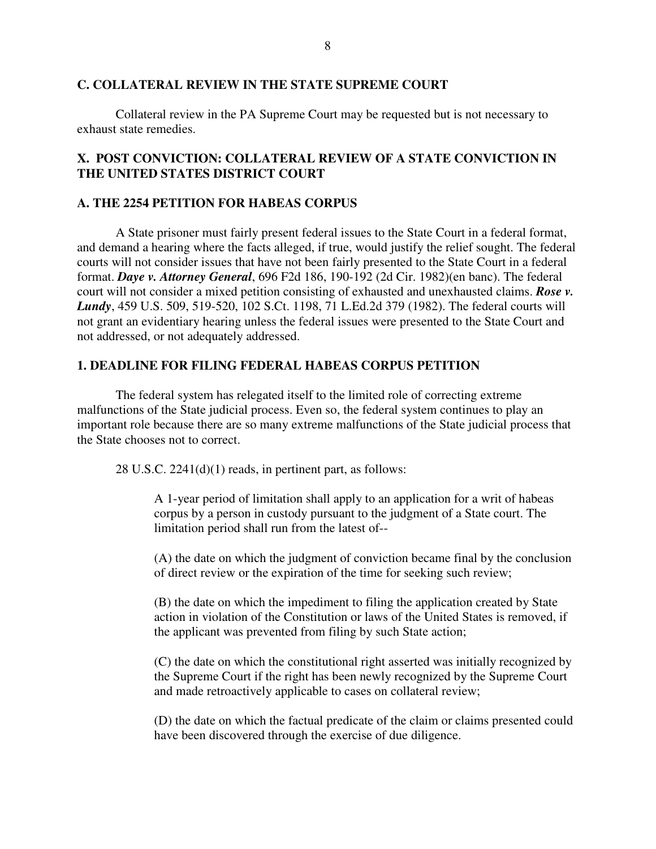## **C. COLLATERAL REVIEW IN THE STATE SUPREME COURT**

 Collateral review in the PA Supreme Court may be requested but is not necessary to exhaust state remedies.

# **X. POST CONVICTION: COLLATERAL REVIEW OF A STATE CONVICTION IN THE UNITED STATES DISTRICT COURT**

# **A. THE 2254 PETITION FOR HABEAS CORPUS**

 A State prisoner must fairly present federal issues to the State Court in a federal format, and demand a hearing where the facts alleged, if true, would justify the relief sought. The federal courts will not consider issues that have not been fairly presented to the State Court in a federal format. *Daye v. Attorney General*, 696 F2d 186, 190-192 (2d Cir. 1982)(en banc). The federal court will not consider a mixed petition consisting of exhausted and unexhausted claims. *Rose v. Lundy*, 459 U.S. 509, 519-520, 102 S.Ct. 1198, 71 L.Ed.2d 379 (1982). The federal courts will not grant an evidentiary hearing unless the federal issues were presented to the State Court and not addressed, or not adequately addressed.

## **1. DEADLINE FOR FILING FEDERAL HABEAS CORPUS PETITION**

 The federal system has relegated itself to the limited role of correcting extreme malfunctions of the State judicial process. Even so, the federal system continues to play an important role because there are so many extreme malfunctions of the State judicial process that the State chooses not to correct.

28 U.S.C. 2241(d)(1) reads, in pertinent part, as follows:

A 1-year period of limitation shall apply to an application for a writ of habeas corpus by a person in custody pursuant to the judgment of a State court. The limitation period shall run from the latest of--

(A) the date on which the judgment of conviction became final by the conclusion of direct review or the expiration of the time for seeking such review;

(B) the date on which the impediment to filing the application created by State action in violation of the Constitution or laws of the United States is removed, if the applicant was prevented from filing by such State action;

(C) the date on which the constitutional right asserted was initially recognized by the Supreme Court if the right has been newly recognized by the Supreme Court and made retroactively applicable to cases on collateral review;

(D) the date on which the factual predicate of the claim or claims presented could have been discovered through the exercise of due diligence.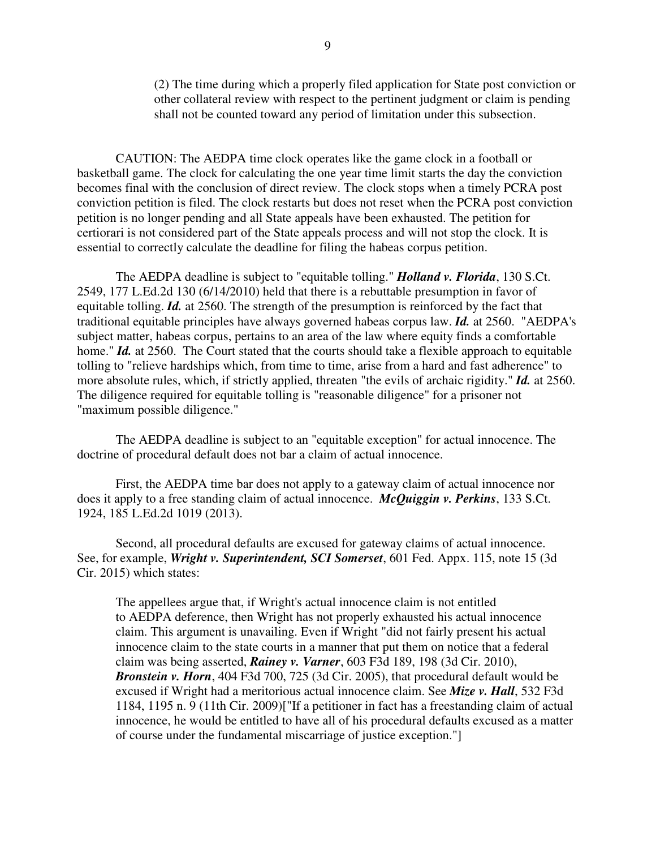(2) The time during which a properly filed application for State post conviction or other collateral review with respect to the pertinent judgment or claim is pending shall not be counted toward any period of limitation under this subsection.

 CAUTION: The AEDPA time clock operates like the game clock in a football or basketball game. The clock for calculating the one year time limit starts the day the conviction becomes final with the conclusion of direct review. The clock stops when a timely PCRA post conviction petition is filed. The clock restarts but does not reset when the PCRA post conviction petition is no longer pending and all State appeals have been exhausted. The petition for certiorari is not considered part of the State appeals process and will not stop the clock. It is essential to correctly calculate the deadline for filing the habeas corpus petition.

 The AEDPA deadline is subject to "equitable tolling." *Holland v. Florida*, 130 S.Ct. 2549, 177 L.Ed.2d 130 (6/14/2010) held that there is a rebuttable presumption in favor of equitable tolling. *Id.* at 2560. The strength of the presumption is reinforced by the fact that traditional equitable principles have always governed habeas corpus law. *Id.* at 2560. "AEDPA's subject matter, habeas corpus, pertains to an area of the law where equity finds a comfortable home." *Id.* at 2560. The Court stated that the courts should take a flexible approach to equitable tolling to "relieve hardships which, from time to time, arise from a hard and fast adherence" to more absolute rules, which, if strictly applied, threaten "the evils of archaic rigidity." *Id.* at 2560. The diligence required for equitable tolling is "reasonable diligence" for a prisoner not "maximum possible diligence."

 The AEDPA deadline is subject to an "equitable exception" for actual innocence. The doctrine of procedural default does not bar a claim of actual innocence.

 First, the AEDPA time bar does not apply to a gateway claim of actual innocence nor does it apply to a free standing claim of actual innocence. *McQuiggin v. Perkins*, 133 S.Ct. 1924, 185 L.Ed.2d 1019 (2013).

 Second, all procedural defaults are excused for gateway claims of actual innocence. See, for example, *Wright v. Superintendent, SCI Somerset*, 601 Fed. Appx. 115, note 15 (3d Cir. 2015) which states:

 The appellees argue that, if Wright's actual innocence claim is not entitled to AEDPA deference, then Wright has not properly exhausted his actual innocence claim. This argument is unavailing. Even if Wright "did not fairly present his actual innocence claim to the state courts in a manner that put them on notice that a federal claim was being asserted, *Rainey v. Varner*, 603 F3d 189, 198 (3d Cir. 2010), *Bronstein v. Horn*, 404 F3d 700, 725 (3d Cir. 2005), that procedural default would be excused if Wright had a meritorious actual innocence claim. See *Mize v. Hall*, 532 F3d 1184, 1195 n. 9 (11th Cir. 2009)["If a petitioner in fact has a freestanding claim of actual innocence, he would be entitled to have all of his procedural defaults excused as a matter of course under the fundamental miscarriage of justice exception."]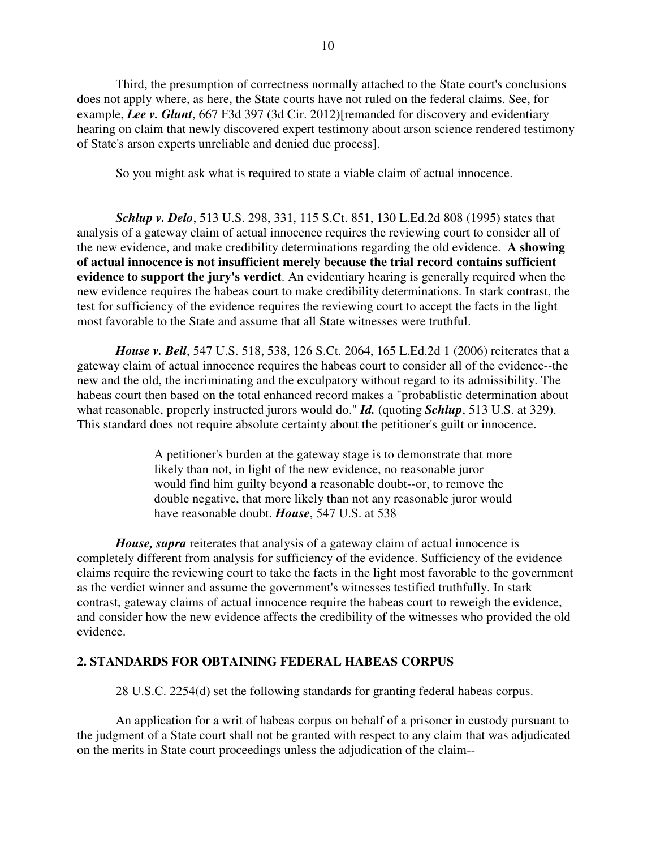Third, the presumption of correctness normally attached to the State court's conclusions does not apply where, as here, the State courts have not ruled on the federal claims. See, for example, *Lee v. Glunt*, 667 F3d 397 (3d Cir. 2012)[remanded for discovery and evidentiary hearing on claim that newly discovered expert testimony about arson science rendered testimony of State's arson experts unreliable and denied due process].

So you might ask what is required to state a viable claim of actual innocence.

 *Schlup v. Delo*, 513 U.S. 298, 331, 115 S.Ct. 851, 130 L.Ed.2d 808 (1995) states that analysis of a gateway claim of actual innocence requires the reviewing court to consider all of the new evidence, and make credibility determinations regarding the old evidence. **A showing of actual innocence is not insufficient merely because the trial record contains sufficient evidence to support the jury's verdict**. An evidentiary hearing is generally required when the new evidence requires the habeas court to make credibility determinations. In stark contrast, the test for sufficiency of the evidence requires the reviewing court to accept the facts in the light most favorable to the State and assume that all State witnesses were truthful.

*House v. Bell*, 547 U.S. 518, 538, 126 S.Ct. 2064, 165 L.Ed.2d 1 (2006) reiterates that a gateway claim of actual innocence requires the habeas court to consider all of the evidence--the new and the old, the incriminating and the exculpatory without regard to its admissibility. The habeas court then based on the total enhanced record makes a "probablistic determination about what reasonable, properly instructed jurors would do." *Id.* (quoting *Schlup*, 513 U.S. at 329). This standard does not require absolute certainty about the petitioner's guilt or innocence.

> A petitioner's burden at the gateway stage is to demonstrate that more likely than not, in light of the new evidence, no reasonable juror would find him guilty beyond a reasonable doubt--or, to remove the double negative, that more likely than not any reasonable juror would have reasonable doubt. *House*, 547 U.S. at 538

*House, supra* reiterates that analysis of a gateway claim of actual innocence is completely different from analysis for sufficiency of the evidence. Sufficiency of the evidence claims require the reviewing court to take the facts in the light most favorable to the government as the verdict winner and assume the government's witnesses testified truthfully. In stark contrast, gateway claims of actual innocence require the habeas court to reweigh the evidence, and consider how the new evidence affects the credibility of the witnesses who provided the old evidence.

# **2. STANDARDS FOR OBTAINING FEDERAL HABEAS CORPUS**

28 U.S.C. 2254(d) set the following standards for granting federal habeas corpus.

 An application for a writ of habeas corpus on behalf of a prisoner in custody pursuant to the judgment of a State court shall not be granted with respect to any claim that was adjudicated on the merits in State court proceedings unless the adjudication of the claim--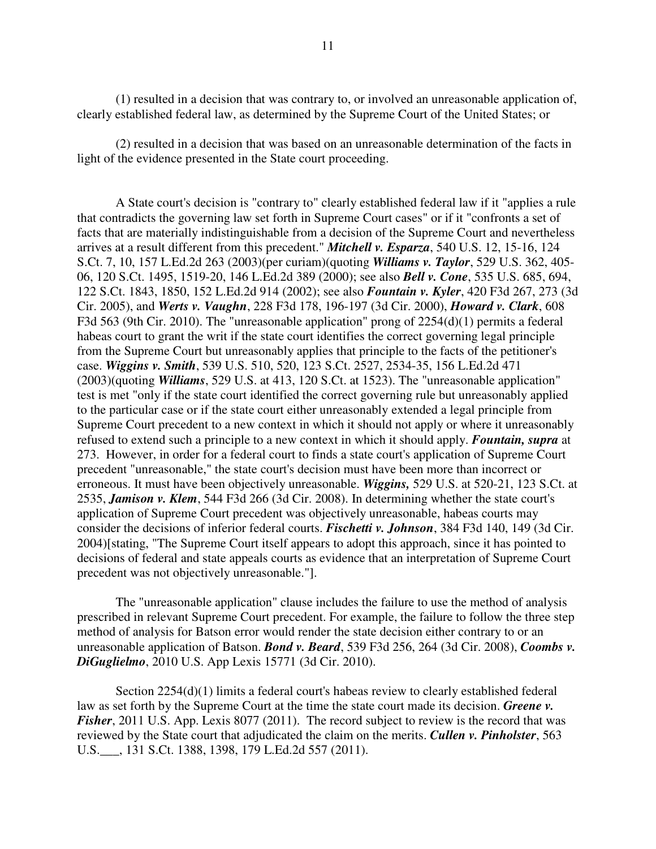(1) resulted in a decision that was contrary to, or involved an unreasonable application of, clearly established federal law, as determined by the Supreme Court of the United States; or

 (2) resulted in a decision that was based on an unreasonable determination of the facts in light of the evidence presented in the State court proceeding.

 A State court's decision is "contrary to" clearly established federal law if it "applies a rule that contradicts the governing law set forth in Supreme Court cases" or if it "confronts a set of facts that are materially indistinguishable from a decision of the Supreme Court and nevertheless arrives at a result different from this precedent." *Mitchell v. Esparza*, 540 U.S. 12, 15-16, 124 S.Ct. 7, 10, 157 L.Ed.2d 263 (2003)(per curiam)(quoting *Williams v. Taylor*, 529 U.S. 362, 405- 06, 120 S.Ct. 1495, 1519-20, 146 L.Ed.2d 389 (2000); see also *Bell v. Cone*, 535 U.S. 685, 694, 122 S.Ct. 1843, 1850, 152 L.Ed.2d 914 (2002); see also *Fountain v. Kyler*, 420 F3d 267, 273 (3d Cir. 2005), and *Werts v. Vaughn*, 228 F3d 178, 196-197 (3d Cir. 2000), *Howard v. Clark*, 608 F3d 563 (9th Cir. 2010). The "unreasonable application" prong of 2254(d)(1) permits a federal habeas court to grant the writ if the state court identifies the correct governing legal principle from the Supreme Court but unreasonably applies that principle to the facts of the petitioner's case. *Wiggins v. Smith*, 539 U.S. 510, 520, 123 S.Ct. 2527, 2534-35, 156 L.Ed.2d 471 (2003)(quoting *Williams*, 529 U.S. at 413, 120 S.Ct. at 1523). The "unreasonable application" test is met "only if the state court identified the correct governing rule but unreasonably applied to the particular case or if the state court either unreasonably extended a legal principle from Supreme Court precedent to a new context in which it should not apply or where it unreasonably refused to extend such a principle to a new context in which it should apply. *Fountain, supra* at 273. However, in order for a federal court to finds a state court's application of Supreme Court precedent "unreasonable," the state court's decision must have been more than incorrect or erroneous. It must have been objectively unreasonable. *Wiggins,* 529 U.S. at 520-21, 123 S.Ct. at 2535, *Jamison v. Klem*, 544 F3d 266 (3d Cir. 2008). In determining whether the state court's application of Supreme Court precedent was objectively unreasonable, habeas courts may consider the decisions of inferior federal courts. *Fischetti v. Johnson*, 384 F3d 140, 149 (3d Cir. 2004)[stating, "The Supreme Court itself appears to adopt this approach, since it has pointed to decisions of federal and state appeals courts as evidence that an interpretation of Supreme Court precedent was not objectively unreasonable."].

 The "unreasonable application" clause includes the failure to use the method of analysis prescribed in relevant Supreme Court precedent. For example, the failure to follow the three step method of analysis for Batson error would render the state decision either contrary to or an unreasonable application of Batson. *Bond v. Beard*, 539 F3d 256, 264 (3d Cir. 2008), *Coombs v. DiGuglielmo*, 2010 U.S. App Lexis 15771 (3d Cir. 2010).

Section 2254(d)(1) limits a federal court's habeas review to clearly established federal law as set forth by the Supreme Court at the time the state court made its decision. *Greene v. Fisher*, 2011 U.S. App. Lexis 8077 (2011). The record subject to review is the record that was reviewed by the State court that adjudicated the claim on the merits. *Cullen v. Pinholster*, 563 U.S.\_\_\_, 131 S.Ct. 1388, 1398, 179 L.Ed.2d 557 (2011).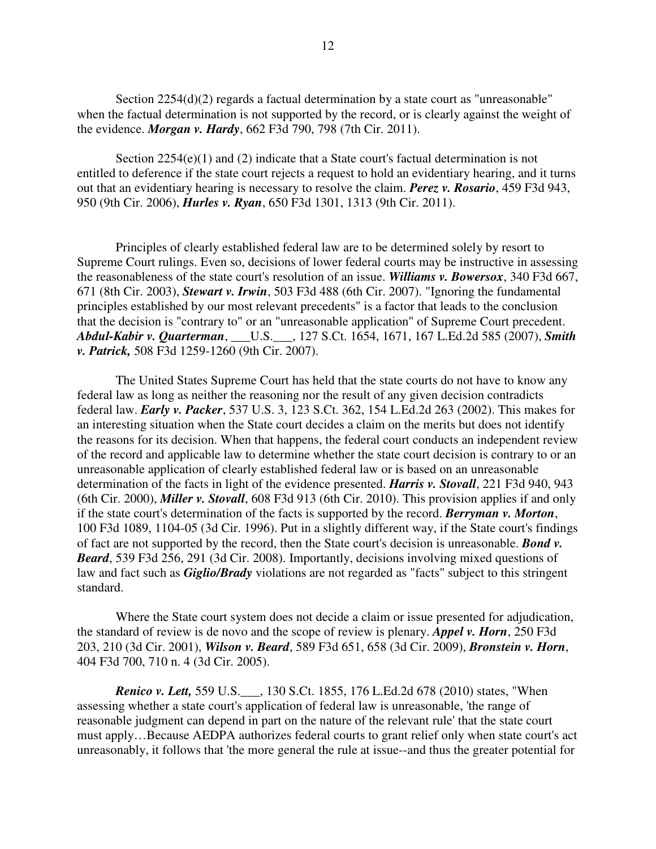Section 2254(d)(2) regards a factual determination by a state court as "unreasonable" when the factual determination is not supported by the record, or is clearly against the weight of the evidence. *Morgan v. Hardy*, 662 F3d 790, 798 (7th Cir. 2011).

Section 2254(e)(1) and (2) indicate that a State court's factual determination is not entitled to deference if the state court rejects a request to hold an evidentiary hearing, and it turns out that an evidentiary hearing is necessary to resolve the claim. *Perez v. Rosario*, 459 F3d 943, 950 (9th Cir. 2006), *Hurles v. Ryan*, 650 F3d 1301, 1313 (9th Cir. 2011).

 Principles of clearly established federal law are to be determined solely by resort to Supreme Court rulings. Even so, decisions of lower federal courts may be instructive in assessing the reasonableness of the state court's resolution of an issue. *Williams v. Bowersox*, 340 F3d 667, 671 (8th Cir. 2003), *Stewart v. Irwin*, 503 F3d 488 (6th Cir. 2007). "Ignoring the fundamental principles established by our most relevant precedents" is a factor that leads to the conclusion that the decision is "contrary to" or an "unreasonable application" of Supreme Court precedent. *Abdul-Kabir v. Quarterman*, \_\_\_U.S.\_\_\_, 127 S.Ct. 1654, 1671, 167 L.Ed.2d 585 (2007), *Smith v. Patrick,* 508 F3d 1259-1260 (9th Cir. 2007).

 The United States Supreme Court has held that the state courts do not have to know any federal law as long as neither the reasoning nor the result of any given decision contradicts federal law. *Early v. Packer*, 537 U.S. 3, 123 S.Ct. 362, 154 L.Ed.2d 263 (2002). This makes for an interesting situation when the State court decides a claim on the merits but does not identify the reasons for its decision. When that happens, the federal court conducts an independent review of the record and applicable law to determine whether the state court decision is contrary to or an unreasonable application of clearly established federal law or is based on an unreasonable determination of the facts in light of the evidence presented. *Harris v. Stovall*, 221 F3d 940, 943 (6th Cir. 2000), *Miller v. Stovall*, 608 F3d 913 (6th Cir. 2010). This provision applies if and only if the state court's determination of the facts is supported by the record. *Berryman v. Morton*, 100 F3d 1089, 1104-05 (3d Cir. 1996). Put in a slightly different way, if the State court's findings of fact are not supported by the record, then the State court's decision is unreasonable. *Bond v. Beard*, 539 F3d 256, 291 (3d Cir. 2008). Importantly, decisions involving mixed questions of law and fact such as *Giglio/Brady* violations are not regarded as "facts" subject to this stringent standard.

 Where the State court system does not decide a claim or issue presented for adjudication, the standard of review is de novo and the scope of review is plenary. *Appel v. Horn*, 250 F3d 203, 210 (3d Cir. 2001), *Wilson v. Beard*, 589 F3d 651, 658 (3d Cir. 2009), *Bronstein v. Horn*, 404 F3d 700, 710 n. 4 (3d Cir. 2005).

 *Renico v. Lett,* 559 U.S.\_\_\_, 130 S.Ct. 1855, 176 L.Ed.2d 678 (2010) states, "When assessing whether a state court's application of federal law is unreasonable, 'the range of reasonable judgment can depend in part on the nature of the relevant rule' that the state court must apply…Because AEDPA authorizes federal courts to grant relief only when state court's act unreasonably, it follows that 'the more general the rule at issue--and thus the greater potential for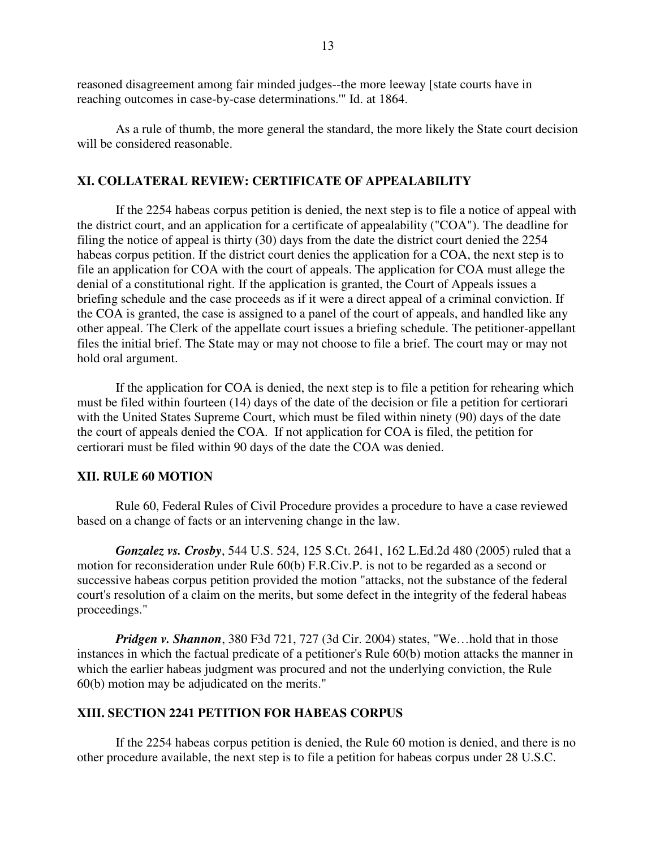reasoned disagreement among fair minded judges--the more leeway [state courts have in reaching outcomes in case-by-case determinations.'" Id. at 1864.

 As a rule of thumb, the more general the standard, the more likely the State court decision will be considered reasonable.

#### **XI. COLLATERAL REVIEW: CERTIFICATE OF APPEALABILITY**

 If the 2254 habeas corpus petition is denied, the next step is to file a notice of appeal with the district court, and an application for a certificate of appealability ("COA"). The deadline for filing the notice of appeal is thirty (30) days from the date the district court denied the 2254 habeas corpus petition. If the district court denies the application for a COA, the next step is to file an application for COA with the court of appeals. The application for COA must allege the denial of a constitutional right. If the application is granted, the Court of Appeals issues a briefing schedule and the case proceeds as if it were a direct appeal of a criminal conviction. If the COA is granted, the case is assigned to a panel of the court of appeals, and handled like any other appeal. The Clerk of the appellate court issues a briefing schedule. The petitioner-appellant files the initial brief. The State may or may not choose to file a brief. The court may or may not hold oral argument.

If the application for COA is denied, the next step is to file a petition for rehearing which must be filed within fourteen (14) days of the date of the decision or file a petition for certiorari with the United States Supreme Court, which must be filed within ninety (90) days of the date the court of appeals denied the COA. If not application for COA is filed, the petition for certiorari must be filed within 90 days of the date the COA was denied.

#### **XII. RULE 60 MOTION**

 Rule 60, Federal Rules of Civil Procedure provides a procedure to have a case reviewed based on a change of facts or an intervening change in the law.

 *Gonzalez vs. Crosby*, 544 U.S. 524, 125 S.Ct. 2641, 162 L.Ed.2d 480 (2005) ruled that a motion for reconsideration under Rule 60(b) F.R.Civ.P. is not to be regarded as a second or successive habeas corpus petition provided the motion "attacks, not the substance of the federal court's resolution of a claim on the merits, but some defect in the integrity of the federal habeas proceedings."

*Pridgen v. Shannon*, 380 F3d 721, 727 (3d Cir. 2004) states, "We…hold that in those instances in which the factual predicate of a petitioner's Rule 60(b) motion attacks the manner in which the earlier habeas judgment was procured and not the underlying conviction, the Rule 60(b) motion may be adjudicated on the merits."

## **XIII. SECTION 2241 PETITION FOR HABEAS CORPUS**

 If the 2254 habeas corpus petition is denied, the Rule 60 motion is denied, and there is no other procedure available, the next step is to file a petition for habeas corpus under 28 U.S.C.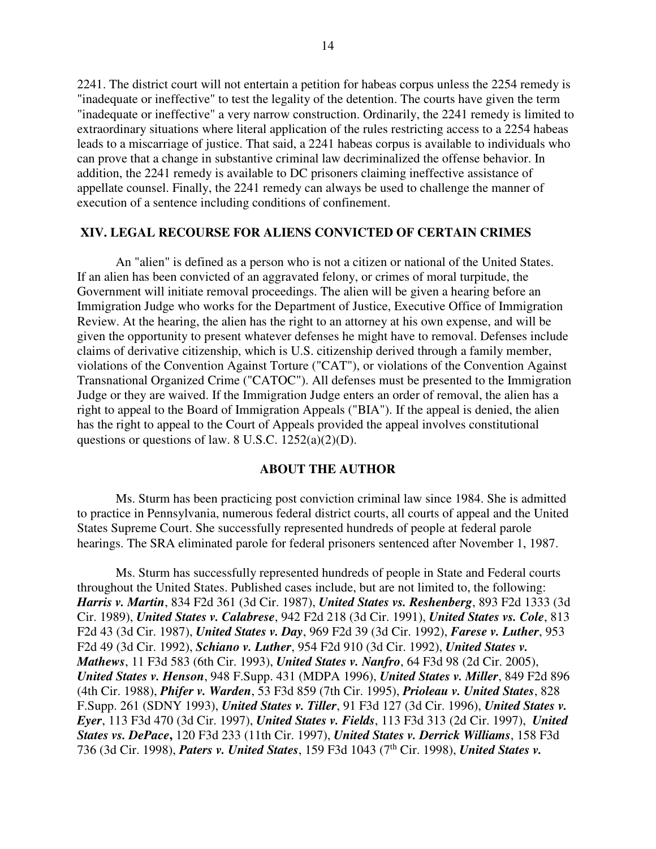2241. The district court will not entertain a petition for habeas corpus unless the 2254 remedy is "inadequate or ineffective" to test the legality of the detention. The courts have given the term "inadequate or ineffective" a very narrow construction. Ordinarily, the 2241 remedy is limited to extraordinary situations where literal application of the rules restricting access to a 2254 habeas leads to a miscarriage of justice. That said, a 2241 habeas corpus is available to individuals who can prove that a change in substantive criminal law decriminalized the offense behavior. In addition, the 2241 remedy is available to DC prisoners claiming ineffective assistance of appellate counsel. Finally, the 2241 remedy can always be used to challenge the manner of execution of a sentence including conditions of confinement.

#### **XIV. LEGAL RECOURSE FOR ALIENS CONVICTED OF CERTAIN CRIMES**

 An "alien" is defined as a person who is not a citizen or national of the United States. If an alien has been convicted of an aggravated felony, or crimes of moral turpitude, the Government will initiate removal proceedings. The alien will be given a hearing before an Immigration Judge who works for the Department of Justice, Executive Office of Immigration Review. At the hearing, the alien has the right to an attorney at his own expense, and will be given the opportunity to present whatever defenses he might have to removal. Defenses include claims of derivative citizenship, which is U.S. citizenship derived through a family member, violations of the Convention Against Torture ("CAT"), or violations of the Convention Against Transnational Organized Crime ("CATOC"). All defenses must be presented to the Immigration Judge or they are waived. If the Immigration Judge enters an order of removal, the alien has a right to appeal to the Board of Immigration Appeals ("BIA"). If the appeal is denied, the alien has the right to appeal to the Court of Appeals provided the appeal involves constitutional questions or questions of law. 8 U.S.C. 1252(a)(2)(D).

#### **ABOUT THE AUTHOR**

 Ms. Sturm has been practicing post conviction criminal law since 1984. She is admitted to practice in Pennsylvania, numerous federal district courts, all courts of appeal and the United States Supreme Court. She successfully represented hundreds of people at federal parole hearings. The SRA eliminated parole for federal prisoners sentenced after November 1, 1987.

 Ms. Sturm has successfully represented hundreds of people in State and Federal courts throughout the United States. Published cases include, but are not limited to, the following: *Harris v. Martin*, 834 F2d 361 (3d Cir. 1987), *United States vs. Reshenberg*, 893 F2d 1333 (3d Cir. 1989), *United States v. Calabrese*, 942 F2d 218 (3d Cir. 1991), *United States vs. Cole*, 813 F2d 43 (3d Cir. 1987), *United States v. Day*, 969 F2d 39 (3d Cir. 1992), *Farese v. Luther*, 953 F2d 49 (3d Cir. 1992), *Schiano v. Luther*, 954 F2d 910 (3d Cir. 1992), *United States v. Mathews*, 11 F3d 583 (6th Cir. 1993), *United States v. Nanfro*, 64 F3d 98 (2d Cir. 2005), *United States v. Henson*, 948 F.Supp. 431 (MDPA 1996), *United States v. Miller*, 849 F2d 896 (4th Cir. 1988), *Phifer v. Warden*, 53 F3d 859 (7th Cir. 1995), *Prioleau v. United States*, 828 F.Supp. 261 (SDNY 1993), *United States v. Tiller*, 91 F3d 127 (3d Cir. 1996), *United States v. Eyer*, 113 F3d 470 (3d Cir. 1997), *United States v. Fields*, 113 F3d 313 (2d Cir. 1997), *United States vs. DePace***,** 120 F3d 233 (11th Cir. 1997), *United States v. Derrick Williams*, 158 F3d 736 (3d Cir. 1998), *Paters v. United States*, 159 F3d 1043 (7th Cir. 1998), *United States v.*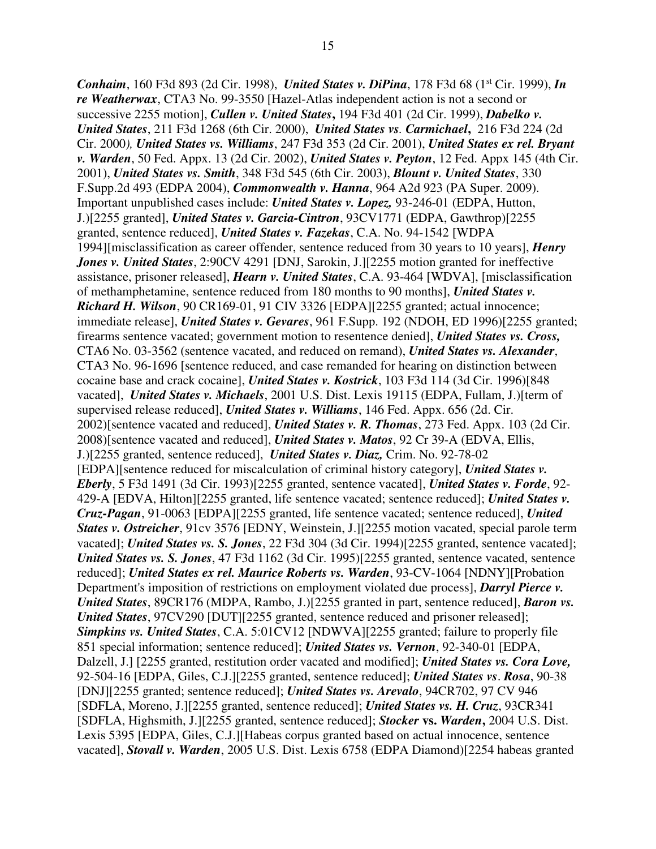15

*Conhaim*, 160 F3d 893 (2d Cir. 1998), *United States v. DiPina*, 178 F3d 68 (1st Cir. 1999), *In re Weatherwax*, CTA3 No. 99-3550 [Hazel-Atlas independent action is not a second or successive 2255 motion], *Cullen v. United States***,** 194 F3d 401 (2d Cir. 1999), *Dabelko v. United States*, 211 F3d 1268 (6th Cir. 2000), *United States vs. Carmichael***,** 216 F3d 224 (2d Cir. 2000*), United States vs. Williams*, 247 F3d 353 (2d Cir. 2001), *United States ex rel. Bryant v. Warden*, 50 Fed. Appx. 13 (2d Cir. 2002), *United States v. Peyton*, 12 Fed. Appx 145 (4th Cir. 2001), *United States vs. Smith*, 348 F3d 545 (6th Cir. 2003), *Blount v. United States*, 330 F.Supp.2d 493 (EDPA 2004), *Commonwealth v. Hanna*, 964 A2d 923 (PA Super. 2009). Important unpublished cases include: *United States v. Lopez,* 93-246-01 (EDPA, Hutton, J.)[2255 granted], *United States v. Garcia-Cintron*, 93CV1771 (EDPA, Gawthrop)[2255 granted, sentence reduced], *United States v. Fazekas*, C.A. No. 94-1542 [WDPA 1994][misclassification as career offender, sentence reduced from 30 years to 10 years], *Henry Jones v. United States*, 2:90CV 4291 [DNJ, Sarokin, J.][2255 motion granted for ineffective assistance, prisoner released], *Hearn v. United States*, C.A. 93-464 [WDVA], [misclassification of methamphetamine, sentence reduced from 180 months to 90 months], *United States v. Richard H. Wilson*, 90 CR169-01, 91 CIV 3326 [EDPA][2255 granted; actual innocence; immediate release], *United States v. Gevares*, 961 F.Supp. 192 (NDOH, ED 1996)[2255 granted; firearms sentence vacated; government motion to resentence denied], *United States vs. Cross,*  CTA6 No. 03-3562 (sentence vacated, and reduced on remand), *United States vs. Alexander*, CTA3 No. 96-1696 [sentence reduced, and case remanded for hearing on distinction between cocaine base and crack cocaine], *United States v. Kostrick*, 103 F3d 114 (3d Cir. 1996)[848 vacated], *United States v. Michaels*, 2001 U.S. Dist. Lexis 19115 (EDPA, Fullam, J.)[term of supervised release reduced], *United States v. Williams*, 146 Fed. Appx. 656 (2d. Cir. 2002)[sentence vacated and reduced], *United States v. R. Thomas*, 273 Fed. Appx. 103 (2d Cir. 2008)[sentence vacated and reduced], *United States v. Matos*, 92 Cr 39-A (EDVA, Ellis, J.)[2255 granted, sentence reduced], *United States v. Diaz,* Crim. No. 92-78-02 [EDPA][sentence reduced for miscalculation of criminal history category], *United States v. Eberly*, 5 F3d 1491 (3d Cir. 1993)[2255 granted, sentence vacated], *United States v. Forde*, 92- 429-A [EDVA, Hilton][2255 granted, life sentence vacated; sentence reduced]; *United States v. Cruz-Pagan*, 91-0063 [EDPA][2255 granted, life sentence vacated; sentence reduced], *United States v. Ostreicher*, 91cv 3576 [EDNY, Weinstein, J.][2255 motion vacated, special parole term vacated]; *United States vs. S. Jones*, 22 F3d 304 (3d Cir. 1994)[2255 granted, sentence vacated]; *United States vs. S. Jones*, 47 F3d 1162 (3d Cir. 1995)[2255 granted, sentence vacated, sentence reduced]; *United States ex rel. Maurice Roberts vs. Warden*, 93-CV-1064 [NDNY][Probation Department's imposition of restrictions on employment violated due process], *Darryl Pierce v. United States*, 89CR176 (MDPA, Rambo, J.)[2255 granted in part, sentence reduced], *Baron vs. United States*, 97CV290 [DUT][2255 granted, sentence reduced and prisoner released]; *Simpkins vs. United States*, C.A. 5:01CV12 [NDWVA][2255 granted; failure to properly file 851 special information; sentence reduced]; *United States vs. Vernon*, 92-340-01 [EDPA, Dalzell, J.] [2255 granted, restitution order vacated and modified]; *United States vs. Cora Love,* 92-504-16 [EDPA, Giles, C.J.][2255 granted, sentence reduced]; *United States vs*. *Rosa*, 90-38 [DNJ][2255 granted; sentence reduced]; *United States vs. Arevalo*, 94CR702, 97 CV 946 [SDFLA, Moreno, J.][2255 granted, sentence reduced]; *United States vs. H. Cruz*, 93CR341 [SDFLA, Highsmith, J.][2255 granted, sentence reduced]; *Stocker* **vs.** *Warden***,** 2004 U.S. Dist. Lexis 5395 [EDPA, Giles, C.J.][Habeas corpus granted based on actual innocence, sentence vacated], *Stovall v. Warden*, 2005 U.S. Dist. Lexis 6758 (EDPA Diamond)[2254 habeas granted